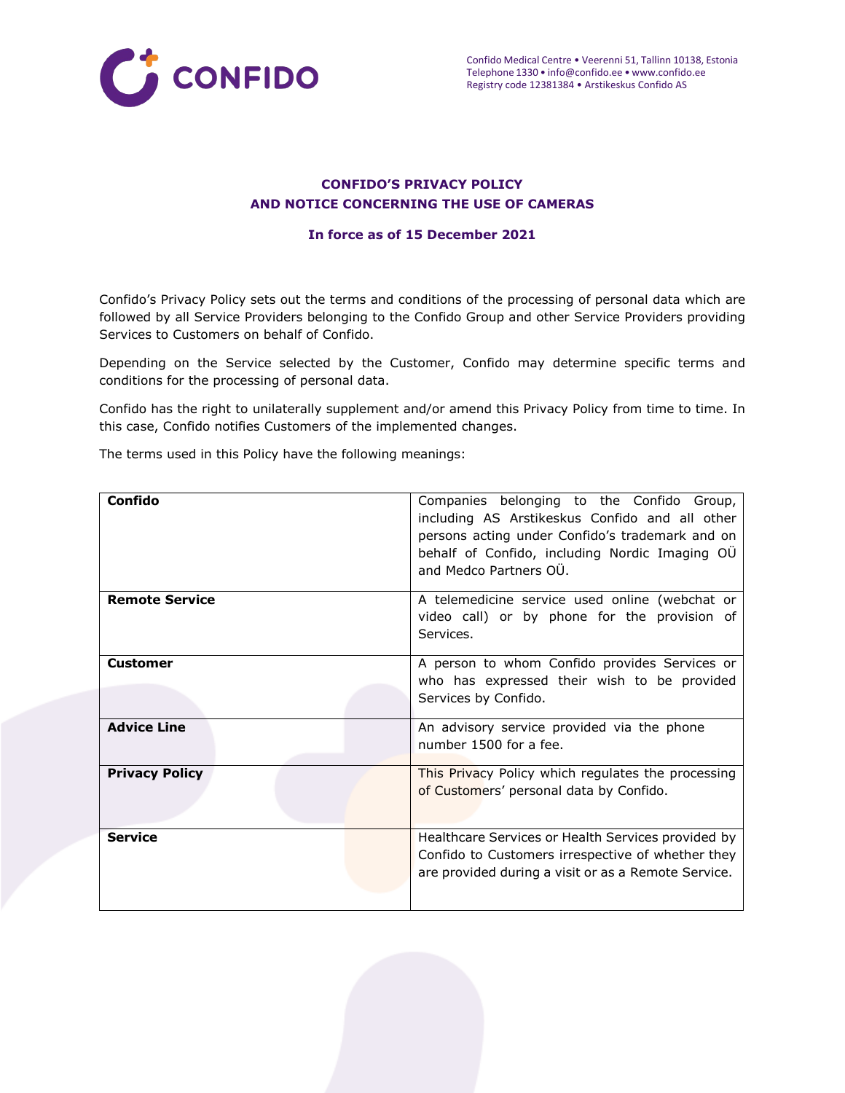

# **CONFIDO'S PRIVACY POLICY AND NOTICE CONCERNING THE USE OF CAMERAS**

#### **In force as of 15 December 2021**

Confido's Privacy Policy sets out the terms and conditions of the processing of personal data which are followed by all Service Providers belonging to the Confido Group and other Service Providers providing Services to Customers on behalf of Confido.

Depending on the Service selected by the Customer, Confido may determine specific terms and conditions for the processing of personal data.

Confido has the right to unilaterally supplement and/or amend this Privacy Policy from time to time. In this case, Confido notifies Customers of the implemented changes.

The terms used in this Policy have the following meanings:

| Confido               | Companies belonging to the Confido Group,<br>including AS Arstikeskus Confido and all other<br>persons acting under Confido's trademark and on<br>behalf of Confido, including Nordic Imaging OÜ<br>and Medco Partners OÜ. |
|-----------------------|----------------------------------------------------------------------------------------------------------------------------------------------------------------------------------------------------------------------------|
| <b>Remote Service</b> | A telemedicine service used online (webchat or<br>video call) or by phone for the provision of<br>Services.                                                                                                                |
| <b>Customer</b>       | A person to whom Confido provides Services or<br>who has expressed their wish to be provided<br>Services by Confido.                                                                                                       |
| <b>Advice Line</b>    | An advisory service provided via the phone<br>number 1500 for a fee.                                                                                                                                                       |
| <b>Privacy Policy</b> | This Privacy Policy which regulates the processing<br>of Customers' personal data by Confido.                                                                                                                              |
| <b>Service</b>        | Healthcare Services or Health Services provided by<br>Confido to Customers irrespective of whether they<br>are provided during a visit or as a Remote Service.                                                             |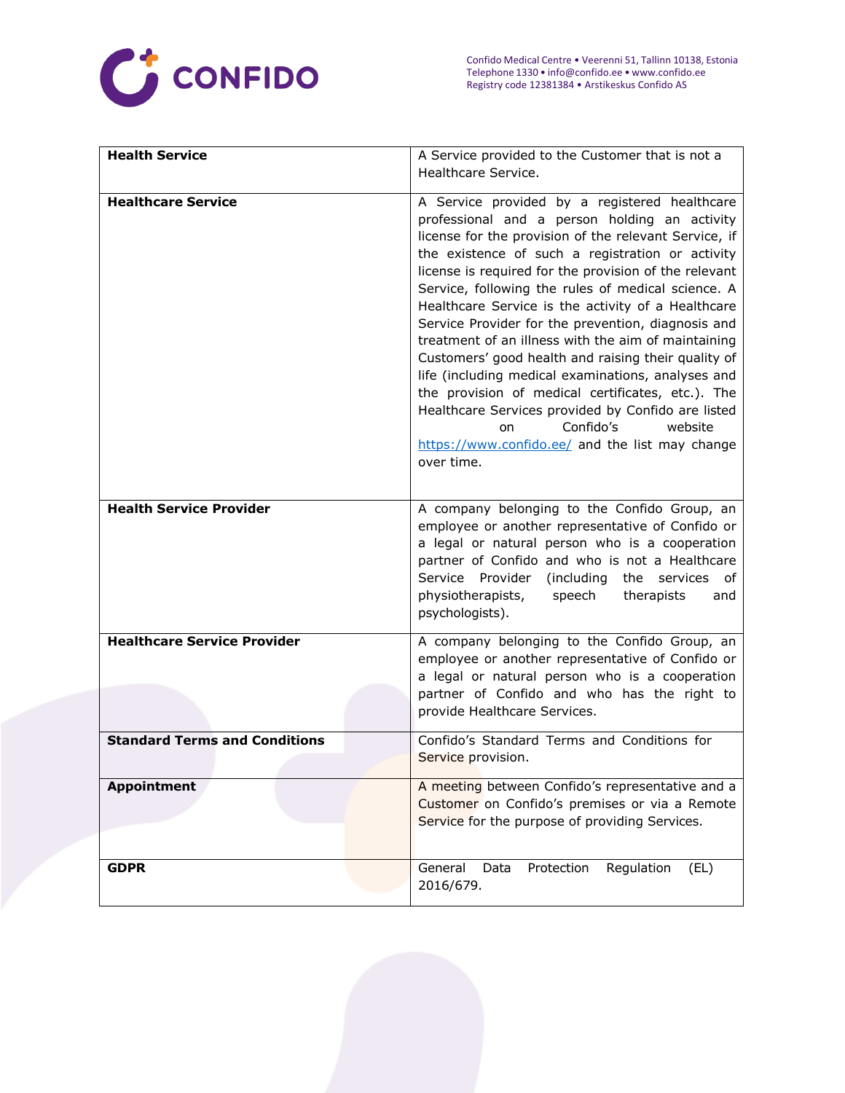

| <b>Health Service</b>                | A Service provided to the Customer that is not a      |
|--------------------------------------|-------------------------------------------------------|
|                                      | Healthcare Service.                                   |
|                                      |                                                       |
| <b>Healthcare Service</b>            | A Service provided by a registered healthcare         |
|                                      | professional and a person holding an activity         |
|                                      | license for the provision of the relevant Service, if |
|                                      | the existence of such a registration or activity      |
|                                      | license is required for the provision of the relevant |
|                                      | Service, following the rules of medical science. A    |
|                                      | Healthcare Service is the activity of a Healthcare    |
|                                      | Service Provider for the prevention, diagnosis and    |
|                                      | treatment of an illness with the aim of maintaining   |
|                                      | Customers' good health and raising their quality of   |
|                                      | life (including medical examinations, analyses and    |
|                                      | the provision of medical certificates, etc.). The     |
|                                      | Healthcare Services provided by Confido are listed    |
|                                      | Confido's<br>website<br>on                            |
|                                      | https://www.confido.ee/ and the list may change       |
|                                      | over time.                                            |
|                                      |                                                       |
|                                      |                                                       |
| <b>Health Service Provider</b>       | A company belonging to the Confido Group, an          |
|                                      | employee or another representative of Confido or      |
|                                      | a legal or natural person who is a cooperation        |
|                                      | partner of Confido and who is not a Healthcare        |
|                                      | Service Provider<br>(including<br>the services<br>оf  |
|                                      | physiotherapists,<br>speech<br>therapists<br>and      |
|                                      | psychologists).                                       |
| <b>Healthcare Service Provider</b>   | A company belonging to the Confido Group, an          |
|                                      | employee or another representative of Confido or      |
|                                      | a legal or natural person who is a cooperation        |
|                                      | partner of Confido and who has the right to           |
|                                      | provide Healthcare Services.                          |
|                                      |                                                       |
| <b>Standard Terms and Conditions</b> | Confido's Standard Terms and Conditions for           |
|                                      | Service provision.                                    |
|                                      |                                                       |
| <b>Appointment</b>                   | A meeting between Confido's representative and a      |
|                                      | Customer on Confido's premises or via a Remote        |
|                                      | Service for the purpose of providing Services.        |
|                                      |                                                       |
| <b>GDPR</b>                          | General<br>Data<br>Protection<br>Regulation<br>(EL)   |
|                                      | 2016/679.                                             |
|                                      |                                                       |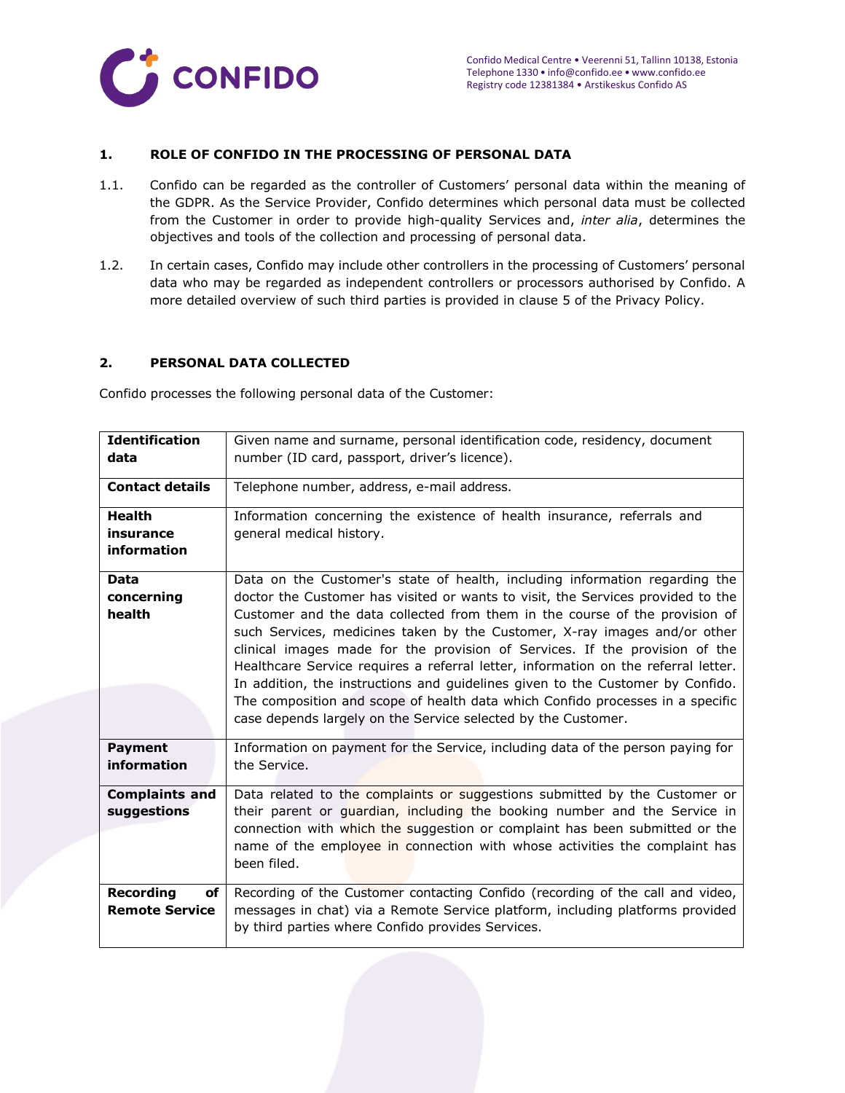

## **1. ROLE OF CONFIDO IN THE PROCESSING OF PERSONAL DATA**

- 1.1. Confido can be regarded as the controller of Customers' personal data within the meaning of the GDPR. As the Service Provider, Confido determines which personal data must be collected from the Customer in order to provide high-quality Services and, *inter alia*, determines the objectives and tools of the collection and processing of personal data.
- 1.2. In certain cases, Confido may include other controllers in the processing of Customers' personal data who may be regarded as independent controllers or processors authorised by Confido. A more detailed overview of such third parties is provided in clause 5 of the Privacy Policy.

## **2. PERSONAL DATA COLLECTED**

Confido processes the following personal data of the Customer:

| <b>Identification</b><br>data             | Given name and surname, personal identification code, residency, document<br>number (ID card, passport, driver's licence).                                                                                                                                                                                                                                                                                                                                                                                                                                                                                                                                                                                                           |
|-------------------------------------------|--------------------------------------------------------------------------------------------------------------------------------------------------------------------------------------------------------------------------------------------------------------------------------------------------------------------------------------------------------------------------------------------------------------------------------------------------------------------------------------------------------------------------------------------------------------------------------------------------------------------------------------------------------------------------------------------------------------------------------------|
| <b>Contact details</b>                    | Telephone number, address, e-mail address.                                                                                                                                                                                                                                                                                                                                                                                                                                                                                                                                                                                                                                                                                           |
| <b>Health</b><br>insurance<br>information | Information concerning the existence of health insurance, referrals and<br>general medical history.                                                                                                                                                                                                                                                                                                                                                                                                                                                                                                                                                                                                                                  |
| <b>Data</b><br>concerning<br>health       | Data on the Customer's state of health, including information regarding the<br>doctor the Customer has visited or wants to visit, the Services provided to the<br>Customer and the data collected from them in the course of the provision of<br>such Services, medicines taken by the Customer, X-ray images and/or other<br>clinical images made for the provision of Services. If the provision of the<br>Healthcare Service requires a referral letter, information on the referral letter.<br>In addition, the instructions and guidelines given to the Customer by Confido.<br>The composition and scope of health data which Confido processes in a specific<br>case depends largely on the Service selected by the Customer. |
| <b>Payment</b><br>information             | Information on payment for the Service, including data of the person paying for<br>the Service.                                                                                                                                                                                                                                                                                                                                                                                                                                                                                                                                                                                                                                      |
| <b>Complaints and</b><br>suggestions      | Data related to the complaints or suggestions submitted by the Customer or<br>their parent or quardian, including the booking number and the Service in<br>connection with which the suggestion or complaint has been submitted or the<br>name of the employee in connection with whose activities the complaint has<br>been filed.                                                                                                                                                                                                                                                                                                                                                                                                  |
| Recording<br>of<br><b>Remote Service</b>  | Recording of the Customer contacting Confido (recording of the call and video,<br>messages in chat) via a Remote Service platform, including platforms provided<br>by third parties where Confido provides Services.                                                                                                                                                                                                                                                                                                                                                                                                                                                                                                                 |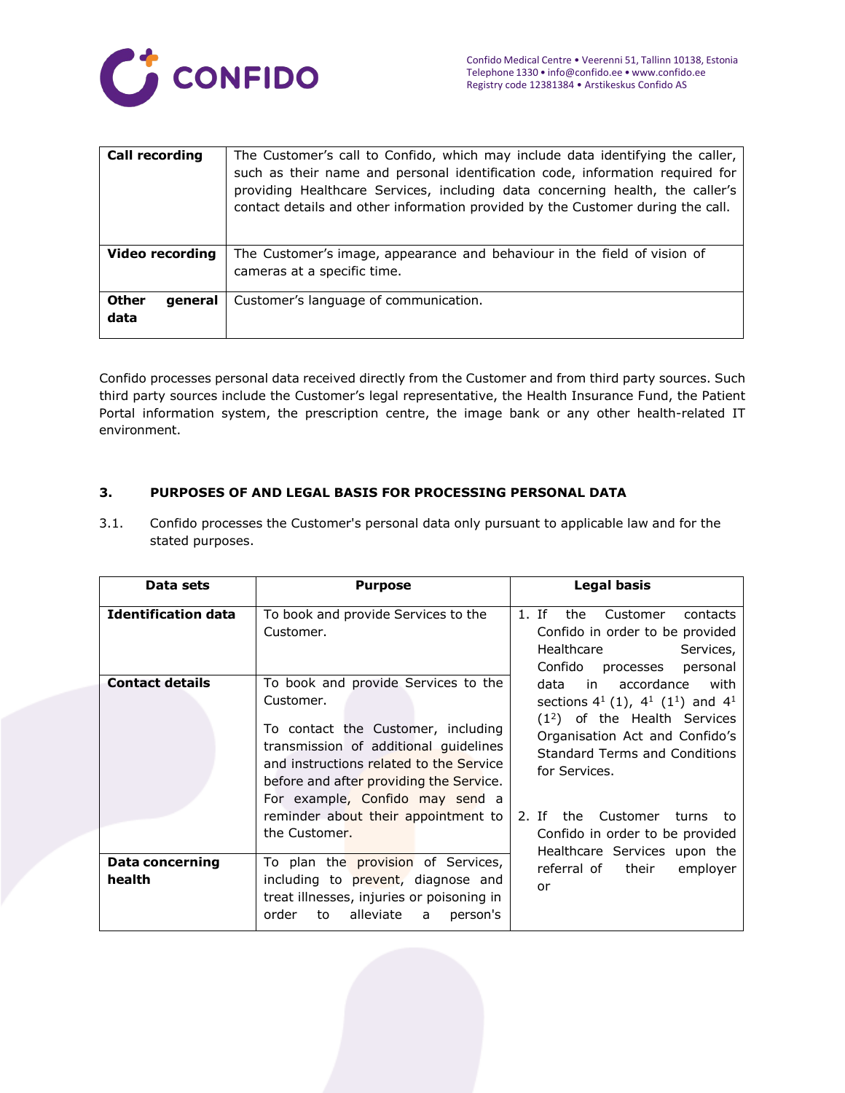

| Call recording                  | The Customer's call to Confido, which may include data identifying the caller,<br>such as their name and personal identification code, information required for<br>providing Healthcare Services, including data concerning health, the caller's<br>contact details and other information provided by the Customer during the call. |
|---------------------------------|-------------------------------------------------------------------------------------------------------------------------------------------------------------------------------------------------------------------------------------------------------------------------------------------------------------------------------------|
| <b>Video recording</b>          | The Customer's image, appearance and behaviour in the field of vision of<br>cameras at a specific time.                                                                                                                                                                                                                             |
| <b>Other</b><br>general<br>data | Customer's language of communication.                                                                                                                                                                                                                                                                                               |

Confido processes personal data received directly from the Customer and from third party sources. Such third party sources include the Customer's legal representative, the Health Insurance Fund, the Patient Portal information system, the prescription centre, the image bank or any other health-related IT environment.

# **3. PURPOSES OF AND LEGAL BASIS FOR PROCESSING PERSONAL DATA**

3.1. Confido processes the Customer's personal data only pursuant to applicable law and for the stated purposes.

| Data sets                        | <b>Purpose</b>                                                                                                                                                                                                                                           | <b>Legal basis</b>                                                                                                                                                                                                 |
|----------------------------------|----------------------------------------------------------------------------------------------------------------------------------------------------------------------------------------------------------------------------------------------------------|--------------------------------------------------------------------------------------------------------------------------------------------------------------------------------------------------------------------|
| <b>Identification data</b>       | To book and provide Services to the<br>Customer.                                                                                                                                                                                                         | 1. If<br>the<br>Customer<br>contacts<br>Confido in order to be provided<br>Healthcare<br>Services,<br>Confido processes<br>personal                                                                                |
| <b>Contact details</b>           | To book and provide Services to the<br>Customer.<br>To contact the Customer, including<br>transmission of additional guidelines<br>and instructions related to the Service<br>before and after providing the Service.<br>For example, Confido may send a | in accordance<br>with<br>data<br>sections $4^1$ (1), $4^1$ (1 <sup>1</sup> ) and $4^1$<br>$(12)$ of the Health Services<br>Organisation Act and Confido's<br><b>Standard Terms and Conditions</b><br>for Services. |
|                                  | reminder about their appointment to<br>the Customer.                                                                                                                                                                                                     | 2. Tf<br>the<br>Customer<br>turns<br>to.<br>Confido in order to be provided<br>Healthcare Services upon the                                                                                                        |
| <b>Data concerning</b><br>health | To plan the provision of Services,<br>including to prevent, diagnose and<br>treat illnesses, injuries or poisoning in<br>order<br>alleviate a<br>person's<br>to                                                                                          | referral of their<br>employer<br>or                                                                                                                                                                                |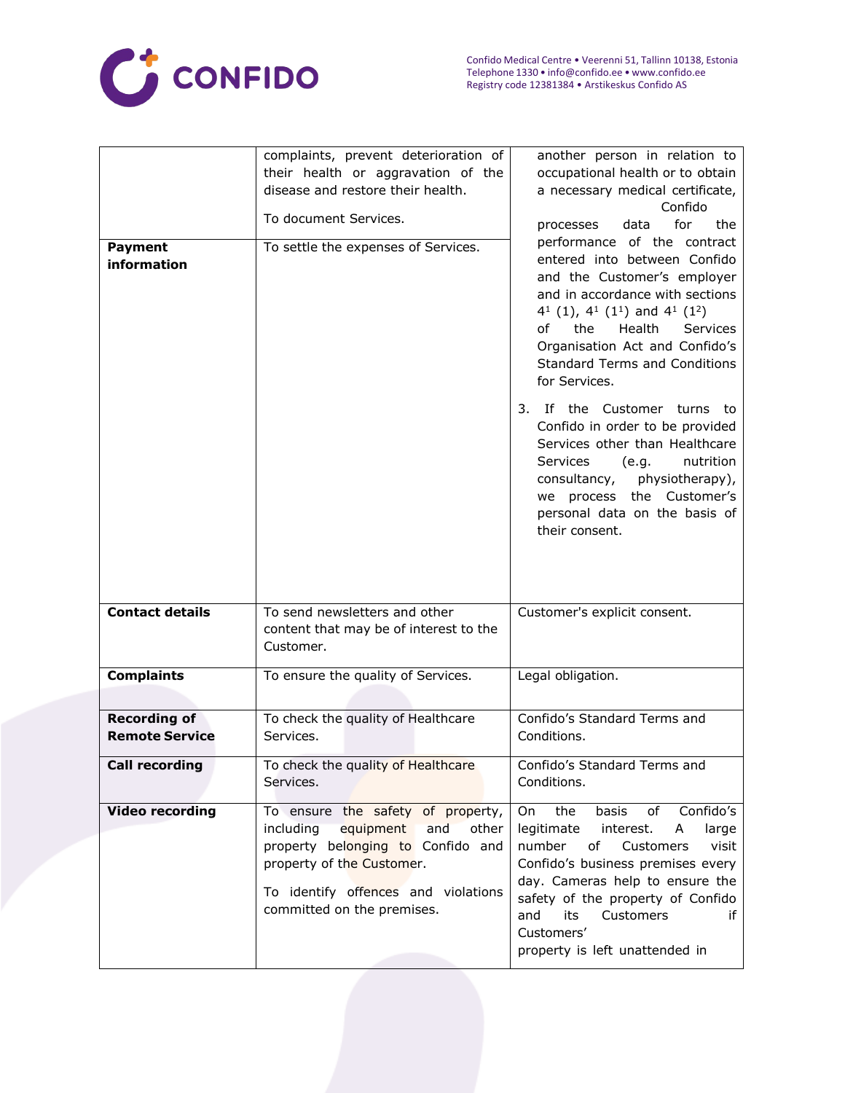

| <b>Payment</b><br>information                | complaints, prevent deterioration of<br>their health or aggravation of the<br>disease and restore their health.<br>To document Services.<br>To settle the expenses of Services.                                    | another person in relation to<br>occupational health or to obtain<br>a necessary medical certificate,<br>Confido<br>for<br>the<br>processes<br>data<br>performance of the contract<br>entered into between Confido<br>and the Customer's employer<br>and in accordance with sections<br>$4^1$ (1), $4^1$ (1 <sup>1</sup> ) and $4^1$ (1 <sup>2</sup> )<br>the<br>Health<br><b>Services</b><br>of<br>Organisation Act and Confido's<br><b>Standard Terms and Conditions</b><br>for Services.<br>3. If the Customer turns to<br>Confido in order to be provided |
|----------------------------------------------|--------------------------------------------------------------------------------------------------------------------------------------------------------------------------------------------------------------------|---------------------------------------------------------------------------------------------------------------------------------------------------------------------------------------------------------------------------------------------------------------------------------------------------------------------------------------------------------------------------------------------------------------------------------------------------------------------------------------------------------------------------------------------------------------|
|                                              |                                                                                                                                                                                                                    | Services other than Healthcare<br>Services<br>nutrition<br>(e.g.<br>consultancy,<br>physiotherapy),<br>we process the Customer's<br>personal data on the basis of<br>their consent.                                                                                                                                                                                                                                                                                                                                                                           |
| <b>Contact details</b>                       | To send newsletters and other<br>content that may be of interest to the<br>Customer.                                                                                                                               | Customer's explicit consent.                                                                                                                                                                                                                                                                                                                                                                                                                                                                                                                                  |
| <b>Complaints</b>                            | To ensure the quality of Services.                                                                                                                                                                                 | Legal obligation.                                                                                                                                                                                                                                                                                                                                                                                                                                                                                                                                             |
| <b>Recording of</b><br><b>Remote Service</b> | To check the quality of Healthcare<br>Services.                                                                                                                                                                    | Confido's Standard Terms and<br>Conditions.                                                                                                                                                                                                                                                                                                                                                                                                                                                                                                                   |
| <b>Call recording</b>                        | To check the quality of Healthcare<br>Services.                                                                                                                                                                    | Confido's Standard Terms and<br>Conditions.                                                                                                                                                                                                                                                                                                                                                                                                                                                                                                                   |
| <b>Video recording</b>                       | To ensure the safety of property,<br>including<br>equipment<br>and<br>other<br>property belonging to Confido and<br>property of the Customer.<br>To identify offences and violations<br>committed on the premises. | Confido's<br>On<br>the<br>basis<br>of<br>legitimate<br>A<br>large<br>interest.<br>of<br>number<br>Customers<br>visit<br>Confido's business premises every<br>day. Cameras help to ensure the<br>safety of the property of Confido<br>and<br>its<br>Customers<br>if<br>Customers'<br>property is left unattended in                                                                                                                                                                                                                                            |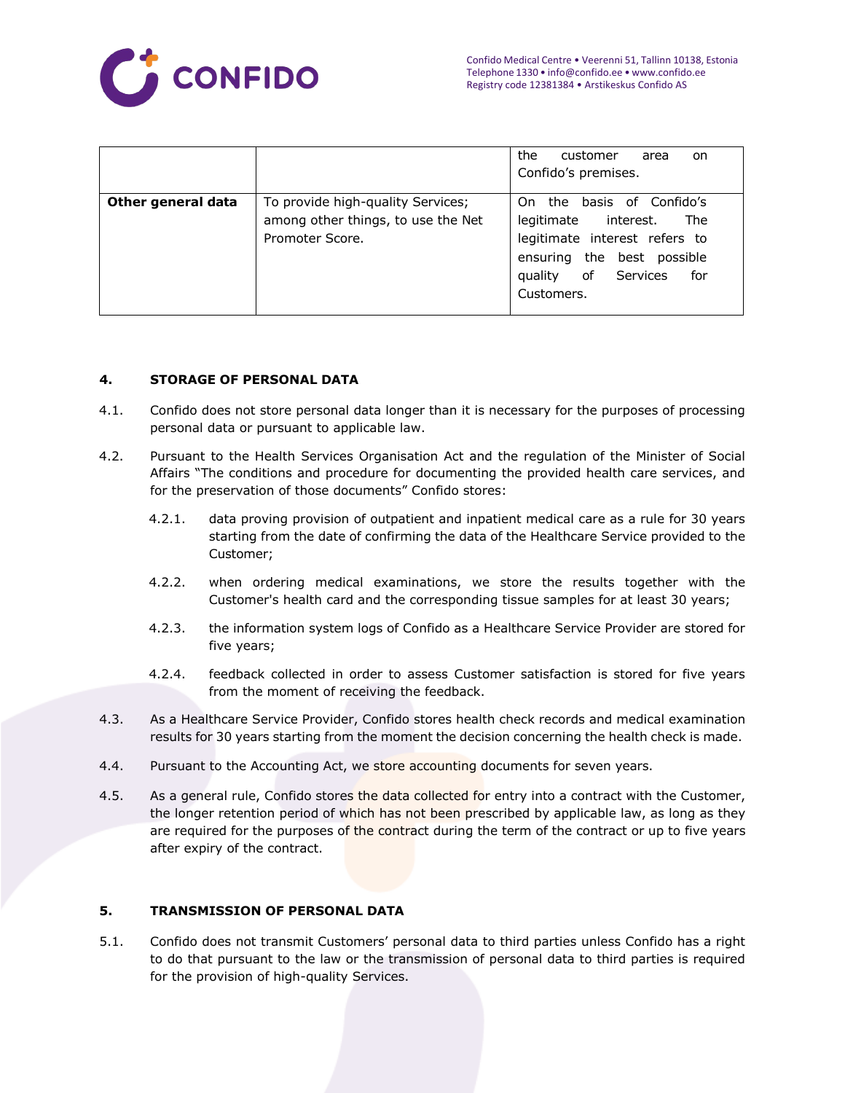

|                    |                                                                                            | the<br>customer<br>area<br>on.<br>Confido's premises.                                                                                                                  |
|--------------------|--------------------------------------------------------------------------------------------|------------------------------------------------------------------------------------------------------------------------------------------------------------------------|
| Other general data | To provide high-quality Services;<br>among other things, to use the Net<br>Promoter Score. | basis of Confido's<br>On the<br>legitimate interest.<br>The<br>legitimate interest refers to<br>ensuring the best possible<br>quality of Services<br>for<br>Customers. |

## **4. STORAGE OF PERSONAL DATA**

- 4.1. Confido does not store personal data longer than it is necessary for the purposes of processing personal data or pursuant to applicable law.
- 4.2. Pursuant to the Health Services Organisation Act and the regulation of the Minister of Social Affairs "The conditions and procedure for documenting the provided health care services, and for the preservation of those documents" Confido stores:
	- 4.2.1. data proving provision of outpatient and inpatient medical care as a rule for 30 years starting from the date of confirming the data of the Healthcare Service provided to the Customer;
	- 4.2.2. when ordering medical examinations, we store the results together with the Customer's health card and the corresponding tissue samples for at least 30 years;
	- 4.2.3. the information system logs of Confido as a Healthcare Service Provider are stored for five years;
	- 4.2.4. feedback collected in order to assess Customer satisfaction is stored for five years from the moment of receiving the feedback.
- 4.3. As a Healthcare Service Provider, Confido stores health check records and medical examination results for 30 years starting from the moment the decision concerning the health check is made.
- 4.4. Pursuant to the Accounting Act, we store accounting documents for seven years.
- 4.5. As a general rule, Confido stores the data collected for entry into a contract with the Customer, the longer retention period of which has not been prescribed by applicable law, as long as they are required for the purposes of the contract during the term of the contract or up to five years after expiry of the contract.

## **5. TRANSMISSION OF PERSONAL DATA**

5.1. Confido does not transmit Customers' personal data to third parties unless Confido has a right to do that pursuant to the law or the transmission of personal data to third parties is required for the provision of high-quality Services.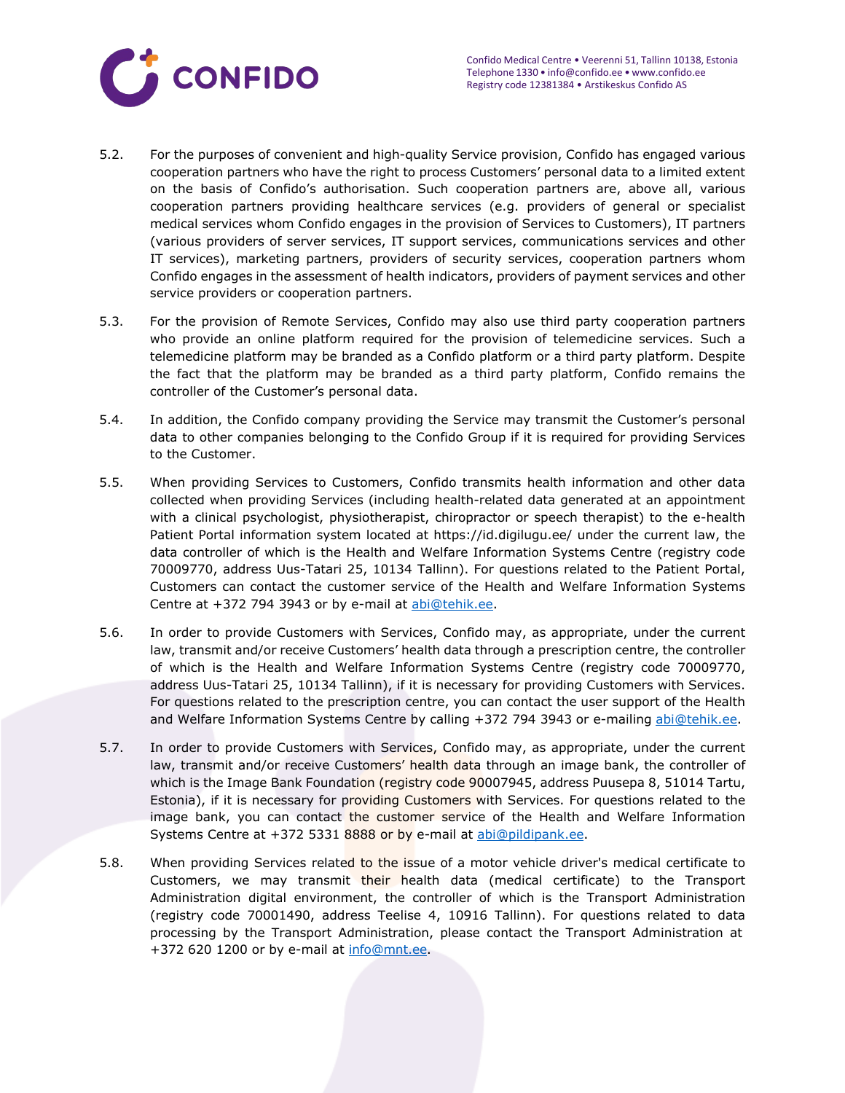

- 5.2. For the purposes of convenient and high-quality Service provision, Confido has engaged various cooperation partners who have the right to process Customers' personal data to a limited extent on the basis of Confido's authorisation. Such cooperation partners are, above all, various cooperation partners providing healthcare services (e.g. providers of general or specialist medical services whom Confido engages in the provision of Services to Customers), IT partners (various providers of server services, IT support services, communications services and other IT services), marketing partners, providers of security services, cooperation partners whom Confido engages in the assessment of health indicators, providers of payment services and other service providers or cooperation partners.
- 5.3. For the provision of Remote Services, Confido may also use third party cooperation partners who provide an online platform required for the provision of telemedicine services. Such a telemedicine platform may be branded as a Confido platform or a third party platform. Despite the fact that the platform may be branded as a third party platform, Confido remains the controller of the Customer's personal data.
- 5.4. In addition, the Confido company providing the Service may transmit the Customer's personal data to other companies belonging to the Confido Group if it is required for providing Services to the Customer.
- 5.5. When providing Services to Customers, Confido transmits health information and other data collected when providing Services (including health-related data generated at an appointment with a clinical psychologist, physiotherapist, chiropractor or speech therapist) to the e-health Patient Portal information system located at https://id.digilugu.ee/ under the current law, the data controller of which is the Health and Welfare Information Systems Centre (registry code 70009770, address Uus-Tatari 25, 10134 Tallinn). For questions related to the Patient Portal, Customers can contact the customer service of the Health and Welfare Information Systems Centre at +372 794 3943 or by e-mail at [abi@tehik.ee.](mailto:abi@tehik.ee)
- 5.6. In order to provide Customers with Services, Confido may, as appropriate, under the current law, transmit and/or receive Customers' health data through a prescription centre, the controller of which is the Health and Welfare Information Systems Centre (registry code 70009770, address Uus-Tatari 25, 10134 Tallinn), if it is necessary for providing Customers with Services. For questions related to the prescription centre, you can contact the user support of the Health and Welfare Information Systems Centre by calling +372 794 3943 or e-mailing [abi@tehik.ee.](mailto:abi@tehik.ee)
- 5.7. In order to provide Customers with Services, Confido may, as appropriate, under the current law, transmit and/or receive Customers' health data through an image bank, the controller of which is the Image Bank Foundation (registry code 90007945, address Puusepa 8, 51014 Tartu, Estonia), if it is necessary for providing Customers with Services. For questions related to the image bank, you can contact the customer service of the Health and Welfare Information Systems Centre at +372 5331 8888 or by e-mail at [abi@pildipank.ee.](mailto:abi@pildipank.ee)
- 5.8. When providing Services related to the issue of a motor vehicle driver's medical certificate to Customers, we may transmit their health data (medical certificate) to the Transport Administration digital environment, the controller of which is the Transport Administration (registry code 70001490, address Teelise 4, 10916 Tallinn). For questions related to data processing by the Transport Administration, please contact the Transport Administration at +372 620 1200 or by e-mail at [info@mnt.ee.](mailto:info@mnt.ee)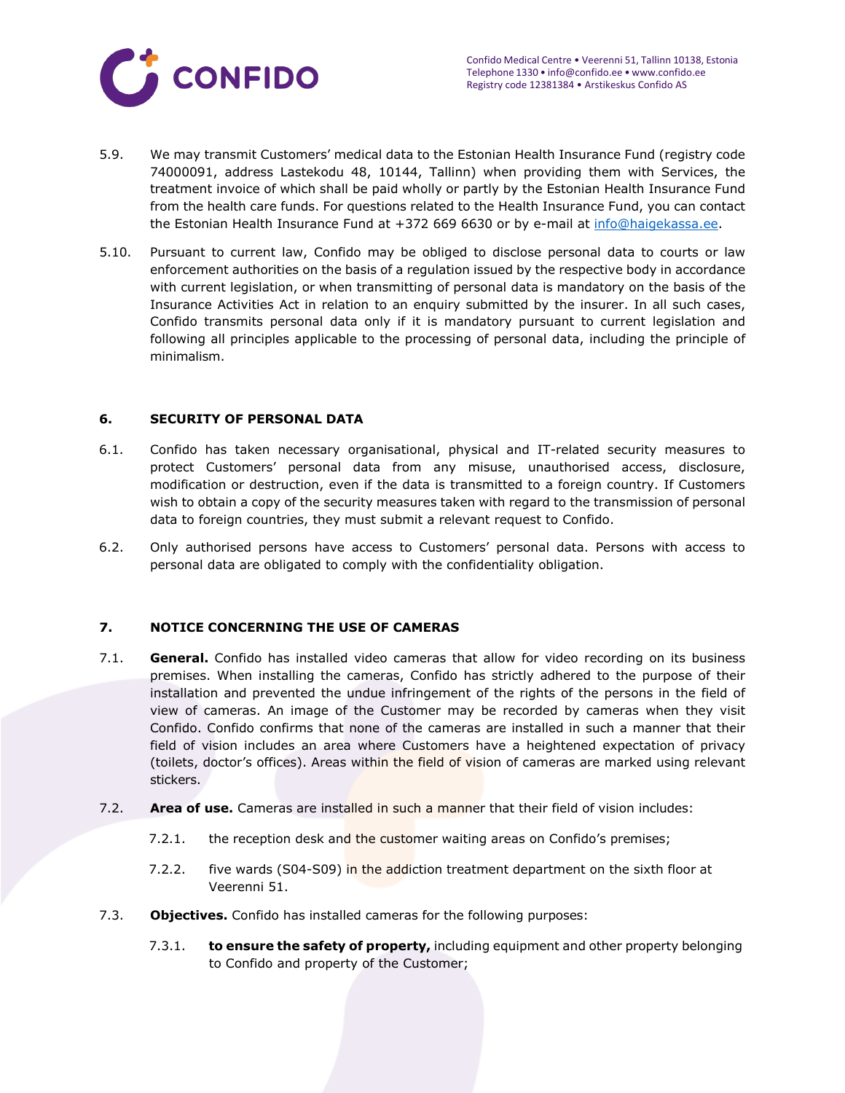

- 5.9. We may transmit Customers' medical data to the Estonian Health Insurance Fund (registry code 74000091, address Lastekodu 48, 10144, Tallinn) when providing them with Services, the treatment invoice of which shall be paid wholly or partly by the Estonian Health Insurance Fund from the health care funds. For questions related to the Health Insurance Fund, you can contact the Estonian Health Insurance Fund at +372 669 6630 or by e-mail at [info@haigekassa.ee.](mailto:info@haigekassa.ee)
- 5.10. Pursuant to current law, Confido may be obliged to disclose personal data to courts or law enforcement authorities on the basis of a regulation issued by the respective body in accordance with current legislation, or when transmitting of personal data is mandatory on the basis of the Insurance Activities Act in relation to an enquiry submitted by the insurer. In all such cases, Confido transmits personal data only if it is mandatory pursuant to current legislation and following all principles applicable to the processing of personal data, including the principle of minimalism.

#### **6. SECURITY OF PERSONAL DATA**

- 6.1. Confido has taken necessary organisational, physical and IT-related security measures to protect Customers' personal data from any misuse, unauthorised access, disclosure, modification or destruction, even if the data is transmitted to a foreign country. If Customers wish to obtain a copy of the security measures taken with regard to the transmission of personal data to foreign countries, they must submit a relevant request to Confido.
- 6.2. Only authorised persons have access to Customers' personal data. Persons with access to personal data are obligated to comply with the confidentiality obligation.

## **7. NOTICE CONCERNING THE USE OF CAMERAS**

- 7.1. **General.** Confido has installed video cameras that allow for video recording on its business premises. When installing the cameras, Confido has strictly adhered to the purpose of their installation and prevented the undue infringement of the rights of the persons in the field of view of cameras. An image of the Customer may be recorded by cameras when they visit Confido. Confido confirms that none of the cameras are installed in such a manner that their field of vision includes an area where Customers have a heightened expectation of privacy (toilets, doctor's offices). Areas within the field of vision of cameras are marked using relevant stickers.
- 7.2. **Area of use.** Cameras are installed in such a manner that their field of vision includes:
	- 7.2.1. the reception desk and the customer waiting areas on Confido's premises;
	- 7.2.2. five wards (S04-S09) in the addiction treatment department on the sixth floor at Veerenni 51.
- 7.3. **Objectives.** Confido has installed cameras for the following purposes:
	- 7.3.1. **to ensure the safety of property,** including equipment and other property belonging to Confido and property of the Customer;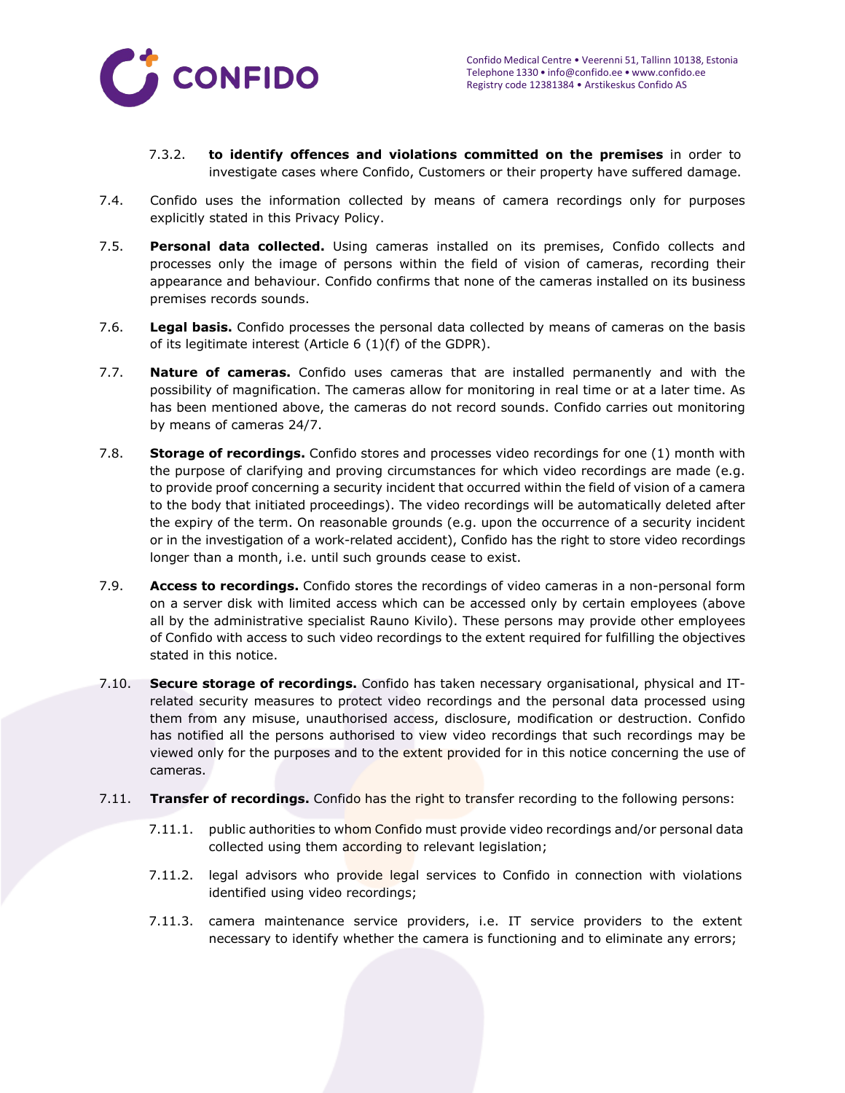

- 7.3.2. **to identify offences and violations committed on the premises** in order to investigate cases where Confido, Customers or their property have suffered damage.
- 7.4. Confido uses the information collected by means of camera recordings only for purposes explicitly stated in this Privacy Policy.
- 7.5. **Personal data collected.** Using cameras installed on its premises, Confido collects and processes only the image of persons within the field of vision of cameras, recording their appearance and behaviour. Confido confirms that none of the cameras installed on its business premises records sounds.
- 7.6. **Legal basis.** Confido processes the personal data collected by means of cameras on the basis of its legitimate interest (Article 6 (1)(f) of the GDPR).
- 7.7. **Nature of cameras.** Confido uses cameras that are installed permanently and with the possibility of magnification. The cameras allow for monitoring in real time or at a later time. As has been mentioned above, the cameras do not record sounds. Confido carries out monitoring by means of cameras 24/7.
- 7.8. **Storage of recordings.** Confido stores and processes video recordings for one (1) month with the purpose of clarifying and proving circumstances for which video recordings are made (e.g. to provide proof concerning a security incident that occurred within the field of vision of a camera to the body that initiated proceedings). The video recordings will be automatically deleted after the expiry of the term. On reasonable grounds (e.g. upon the occurrence of a security incident or in the investigation of a work-related accident), Confido has the right to store video recordings longer than a month, i.e. until such grounds cease to exist.
- 7.9. **Access to recordings.** Confido stores the recordings of video cameras in a non-personal form on a server disk with limited access which can be accessed only by certain employees (above all by the administrative specialist Rauno Kivilo). These persons may provide other employees of Confido with access to such video recordings to the extent required for fulfilling the objectives stated in this notice.
- 7.10. **Secure storage of recordings.** Confido has taken necessary organisational, physical and ITrelated security measures to protect video recordings and the personal data processed using them from any misuse, unauthorised access, disclosure, modification or destruction. Confido has notified all the persons authorised to view video recordings that such recordings may be viewed only for the purposes and to the extent provided for in this notice concerning the use of cameras.
- 7.11. **Transfer of recordings.** Confido has the right to transfer recording to the following persons:
	- 7.11.1. public authorities to whom Confido must provide video recordings and/or personal data collected using them according to relevant legislation;
	- 7.11.2. legal advisors who provide legal services to Confido in connection with violations identified using video recordings;
	- 7.11.3. camera maintenance service providers, i.e. IT service providers to the extent necessary to identify whether the camera is functioning and to eliminate any errors;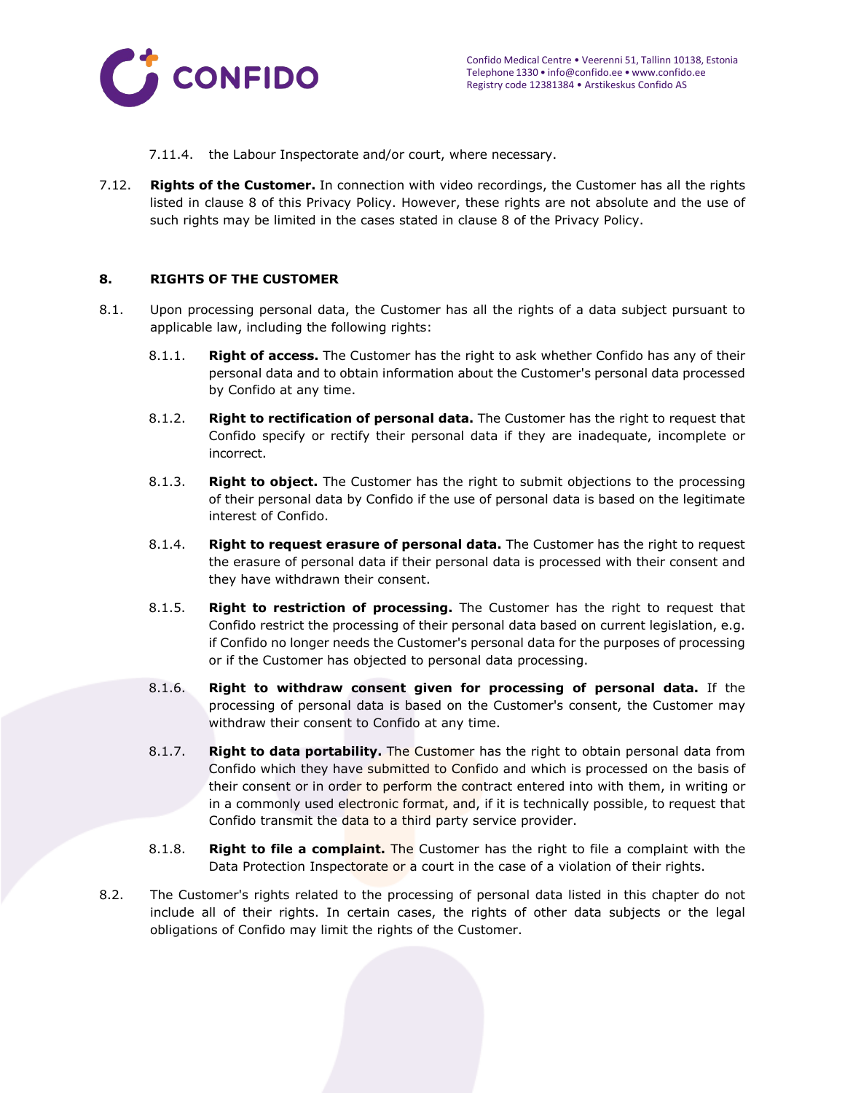

- 7.11.4. the Labour Inspectorate and/or court, where necessary.
- 7.12. **Rights of the Customer.** In connection with video recordings, the Customer has all the rights listed in clause 8 of this Privacy Policy. However, these rights are not absolute and the use of such rights may be limited in the cases stated in clause 8 of the Privacy Policy.

## **8. RIGHTS OF THE CUSTOMER**

- 8.1. Upon processing personal data, the Customer has all the rights of a data subject pursuant to applicable law, including the following rights:
	- 8.1.1. **Right of access.** The Customer has the right to ask whether Confido has any of their personal data and to obtain information about the Customer's personal data processed by Confido at any time.
	- 8.1.2. **Right to rectification of personal data.** The Customer has the right to request that Confido specify or rectify their personal data if they are inadequate, incomplete or incorrect.
	- 8.1.3. **Right to object.** The Customer has the right to submit objections to the processing of their personal data by Confido if the use of personal data is based on the legitimate interest of Confido.
	- 8.1.4. **Right to request erasure of personal data.** The Customer has the right to request the erasure of personal data if their personal data is processed with their consent and they have withdrawn their consent.
	- 8.1.5. **Right to restriction of processing.** The Customer has the right to request that Confido restrict the processing of their personal data based on current legislation, e.g. if Confido no longer needs the Customer's personal data for the purposes of processing or if the Customer has objected to personal data processing.
	- 8.1.6. **Right to withdraw consent given for processing of personal data.** If the processing of personal data is based on the Customer's consent, the Customer may withdraw their consent to Confido at any time.
	- 8.1.7. **Right to data portability.** The Customer has the right to obtain personal data from Confido which they have submitted to Confido and which is processed on the basis of their consent or in order to perform the contract entered into with them, in writing or in a commonly used electronic format, and, if it is technically possible, to request that Confido transmit the data to a third party service provider.
	- 8.1.8. **Right to file a complaint.** The Customer has the right to file a complaint with the Data Protection Inspectorate or a court in the case of a violation of their rights.
- 8.2. The Customer's rights related to the processing of personal data listed in this chapter do not include all of their rights. In certain cases, the rights of other data subjects or the legal obligations of Confido may limit the rights of the Customer.